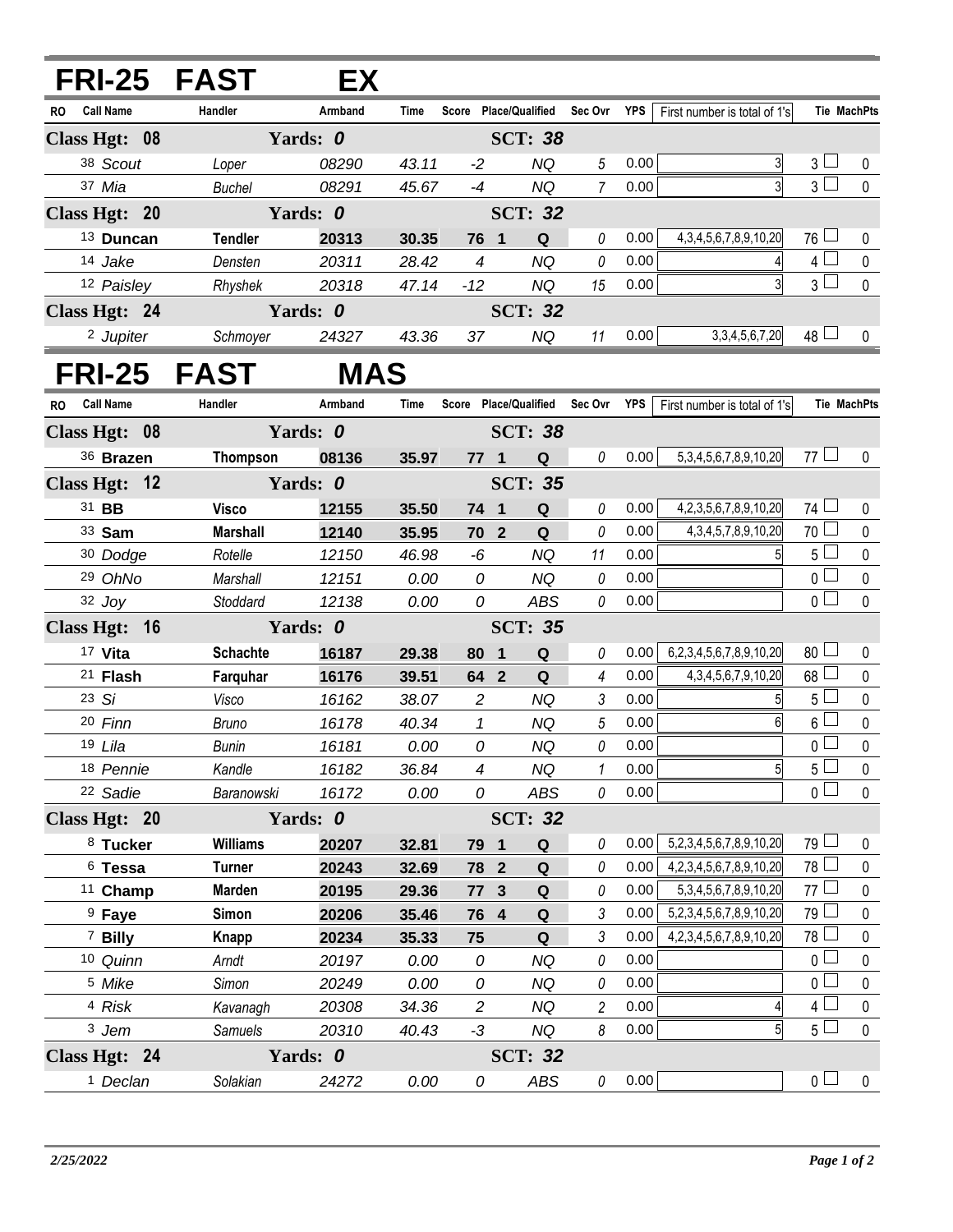| FRI-25 FAST                   |                 | EX         |       |                |                         |                                   |         |      |                                   |                 |                    |
|-------------------------------|-----------------|------------|-------|----------------|-------------------------|-----------------------------------|---------|------|-----------------------------------|-----------------|--------------------|
| Call Name<br><b>RO</b>        | Handler         | Armband    | Time  |                |                         | Score Place/Qualified             | Sec Ovr | YPS  | First number is total of 1's      |                 | <b>Tie MachPts</b> |
| Class Hgt: 08                 |                 | Yards: 0   |       |                |                         | <b>SCT: 38</b>                    |         |      |                                   |                 |                    |
| 38 Scout                      | Loper           | 08290      | 43.11 | $-2$           |                         | NQ                                | 5       | 0.00 | 3                                 | $3+$            | 0                  |
| 37 Mia                        | Buchel          | 08291      | 45.67 | $-4$           |                         | <b>NQ</b>                         | 7       | 0.00 |                                   | 3 <sup>1</sup>  | $\mathbf 0$        |
| Class Hgt: 20                 |                 | Yards: 0   |       |                |                         | <b>SCT: 32</b>                    |         |      |                                   |                 |                    |
| <sup>13</sup> Duncan          | <b>Tendler</b>  | 20313      | 30.35 | 76 1           |                         | Q                                 | 0       | 0.00 | 4, 3, 4, 5, 6, 7, 8, 9, 10, 20    | $76 \Box$       | 0                  |
| 14 Jake                       | Densten         | 20311      | 28.42 | $\overline{4}$ |                         | <b>NQ</b>                         | 0       | 0.00 | 4                                 | 4 <sup>L</sup>  | 0                  |
| 12 Paisley                    | Rhyshek         | 20318      | 47.14 | $-12$          |                         | <b>NQ</b>                         | 15      | 0.00 | $\overline{3}$                    | $3\sqcup$       | $\mathbf 0$        |
| Class Hgt: 24                 |                 | Yards: 0   |       |                |                         | <b>SCT: 32</b>                    |         |      |                                   |                 |                    |
| <sup>2</sup> Jupiter          | Schmoyer        | 24327      | 43.36 | 37             |                         | NQ                                | 11      | 0.00 | 3, 3, 4, 5, 6, 7, 20              | $48 \Box$       | $\mathbf 0$        |
| <b>FRI-25 FAST</b>            |                 | <b>MAS</b> |       |                |                         |                                   |         |      |                                   |                 |                    |
| <b>Call Name</b><br><b>RO</b> | Handler         | Armband    | Time  |                |                         | Score Place/Qualified Sec Ovr YPS |         |      | First number is total of 1's      |                 | Tie MachPts        |
| Class Hgt: 08                 |                 | Yards: 0   |       |                |                         | <b>SCT: 38</b>                    |         |      |                                   |                 |                    |
| 36 Brazen                     | <b>Thompson</b> | 08136      | 35.97 | $771$          |                         | Q                                 | 0       | 0.00 | 5, 3, 4, 5, 6, 7, 8, 9, 10, 20    | 77 $\Box$       | 0                  |
| Class Hgt: 12                 |                 | Yards: 0   |       |                |                         | <b>SCT: 35</b>                    |         |      |                                   |                 |                    |
| 31 BB                         | <b>Visco</b>    | 12155      | 35.50 | 74 1           |                         | Q                                 | 0       | 0.00 | 4, 2, 3, 5, 6, 7, 8, 9, 10, 20    | 74 $\Box$       | 0                  |
| 33 Sam                        | <b>Marshall</b> | 12140      | 35.95 |                | 70 2                    | Q                                 | 0       | 0.00 | 4, 3, 4, 5, 7, 8, 9, 10, 20       | 70 <sub>1</sub> | 0                  |
| 30 Dodge                      | Rotelle         | 12150      | 46.98 | $-6$           |                         | NQ                                | 11      | 0.00 |                                   | 5 <sup>L</sup>  | $\pmb{0}$          |
| 29 OhNo                       | Marshall        | 12151      | 0.00  | 0              |                         | <b>NQ</b>                         | 0       | 0.00 |                                   | 0 <sub>0</sub>  | 0                  |
| $32$ Joy                      | Stoddard        | 12138      | 0.00  | 0              |                         | <b>ABS</b>                        | 0       | 0.00 |                                   | 0 <sup>1</sup>  | $\mathbf{0}$       |
| Class Hgt: 16                 |                 | Yards: 0   |       |                |                         | <b>SCT: 35</b>                    |         |      |                                   |                 |                    |
| 17 Vita                       | <b>Schachte</b> | 16187      | 29.38 | 80             | $\overline{\mathbf{1}}$ | Q                                 | 0       | 0.00 | 6,2,3,4,5,6,7,8,9,10,20           | 80 <sup>1</sup> | 0                  |
| 21 Flash                      | Farquhar        | 16176      | 39.51 |                | 64 2                    | Q                                 | 4       | 0.00 | 4, 3, 4, 5, 6, 7, 9, 10, 20       | $68 -$          | $\pmb{0}$          |
| 23 Si                         | Visco           | 16162      | 38.07 | 2              |                         | NQ                                | 3       | 0.00 |                                   | 5 <sup>1</sup>  | 0                  |
| 20 Finn                       | <b>Bruno</b>    | 16178      | 40.34 | $\mathbf{1}$   |                         | <b>NQ</b>                         | 5       | 0.00 | $6 \mid$                          | 6 <sup>1</sup>  | $\pmb{0}$          |
| 19 Lila                       | Bunin           | 16181      | 0.00  | 0              |                         | <b>NQ</b>                         | 0       | 0.00 |                                   | 0               | $\pmb{0}$          |
| 18 Pennie                     | Kandle          | 16182      | 36.84 | 4              |                         | <b>NQ</b>                         | 1       | 0.00 |                                   | 5 <sub>1</sub>  | $\pmb{0}$          |
| 22 Sadie                      | Baranowski      | 16172      | 0.00  | 0              |                         | ABS                               | 0       | 0.00 |                                   | $0-$            | $\mathbf 0$        |
| Class Hgt: 20                 |                 | Yards: 0   |       |                |                         | <b>SCT: 32</b>                    |         |      |                                   |                 |                    |
| 8 Tucker                      | <b>Williams</b> | 20207      | 32.81 | 79 1           |                         | Q                                 | 0       | 0.00 | 5,2,3,4,5,6,7,8,9,10,20           | $79 \Box$       | 0                  |
| <sup>6</sup> Tessa            | <b>Turner</b>   | 20243      | 32.69 |                | 78 2                    | ${\bf Q}$                         | 0       | 0.00 | 4, 2, 3, 4, 5, 6, 7, 8, 9, 10, 20 | 78 L            | 0                  |
| <sup>11</sup> Champ           | Marden          | 20195      | 29.36 |                | 77 3                    | $\mathbf Q$                       | 0       | 0.00 | 5, 3, 4, 5, 6, 7, 8, 9, 10, 20    | 77 $\Box$       | $\pmb{0}$          |
| <sup>9</sup> Faye             | Simon           | 20206      | 35.46 |                | 76 4                    | $\mathbf Q$                       | 3       | 0.00 | 5,2,3,4,5,6,7,8,9,10,20           | 79 L            | 0                  |
| <sup>7</sup> Billy            | Knapp           | 20234      | 35.33 | 75             |                         | Q                                 | 3       | 0.00 | 4, 2, 3, 4, 5, 6, 7, 8, 9, 10, 20 | 78 L            | 0                  |
| 10 Quinn                      | Arndt           | 20197      | 0.00  | 0              |                         | <b>NQ</b>                         | 0       | 0.00 |                                   | 0 <sup>1</sup>  | 0                  |
| <sup>5</sup> Mike             | Simon           | 20249      | 0.00  | 0              |                         | <b>NQ</b>                         | 0       | 0.00 |                                   | o L             | 0                  |
| 4 Risk                        | Kavanagh        | 20308      | 34.36 | $\overline{2}$ |                         | <b>NQ</b>                         | 2       | 0.00 |                                   | 4 l             | 0                  |
| 3 Jem                         | Samuels         | 20310      | 40.43 | $-3$           |                         | <b>NQ</b>                         | 8       | 0.00 | 5 <sup>1</sup>                    | 5 <sub>1</sub>  | $\mathbf 0$        |
| Class Hgt: 24                 |                 | Yards: 0   |       |                |                         | <b>SCT: 32</b>                    |         |      |                                   |                 |                    |
| <sup>1</sup> Declan           | Solakian        | 24272      | 0.00  | 0              |                         | ABS                               | 0       | 0.00 |                                   | 0 <sub>1</sub>  | $\mathbf 0$        |